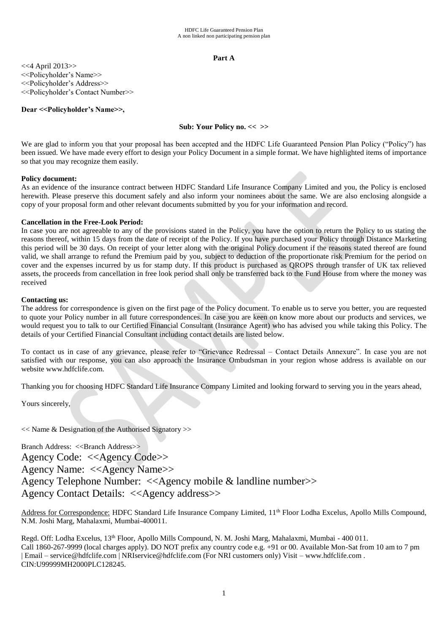# **Part A**

<<4 April 2013>> <<Policyholder's Name>> <<Policyholder's Address>> <<Policyholder's Contact Number>>

# **Dear <<Policyholder's Name>>,**

# **Sub: Your Policy no. << >>**

We are glad to inform you that your proposal has been accepted and the HDFC Life Guaranteed Pension Plan Policy ("Policy") has been issued. We have made every effort to design your Policy Document in a simple format. We have highlighted items of importance so that you may recognize them easily.

# **Policy document:**

As an evidence of the insurance contract between HDFC Standard Life Insurance Company Limited and you, the Policy is enclosed herewith. Please preserve this document safely and also inform your nominees about the same. We are also enclosing alongside a copy of your proposal form and other relevant documents submitted by you for your information and record.

# **Cancellation in the Free-Look Period:**

In case you are not agreeable to any of the provisions stated in the Policy, you have the option to return the Policy to us stating the reasons thereof, within 15 days from the date of receipt of the Policy. If you have purchased your Policy through Distance Marketing this period will be 30 days. On receipt of your letter along with the original Policy document if the reasons stated thereof are found valid, we shall arrange to refund the Premium paid by you, subject to deduction of the proportionate risk Premium for the period on cover and the expenses incurred by us for stamp duty. If this product is purchased as QROPS through transfer of UK tax relieved assets, the proceeds from cancellation in free look period shall only be transferred back to the Fund House from where the money was received

# **Contacting us:**

The address for correspondence is given on the first page of the Policy document. To enable us to serve you better, you are requested to quote your Policy number in all future correspondences. In case you are keen on know more about our products and services, we would request you to talk to our Certified Financial Consultant (Insurance Agent) who has advised you while taking this Policy. The details of your Certified Financial Consultant including contact details are listed below.

To contact us in case of any grievance, please refer to "Grievance Redressal – Contact Details Annexure". In case you are not satisfied with our response, you can also approach the Insurance Ombudsman in your region whose address is available on our website www.hdfclife.com.

Thanking you for choosing HDFC Standard Life Insurance Company Limited and looking forward to serving you in the years ahead,

Yours sincerely,

<< Name & Designation of the Authorised Signatory >>

Branch Address: <<Branch Address>> Agency Code: <<Agency Code>> Agency Name: <<Agency Name>> Agency Telephone Number: <<Agency mobile & landline number>> Agency Contact Details: <<Agency address>>

Address for Correspondence: HDFC Standard Life Insurance Company Limited, 11<sup>th</sup> Floor Lodha Excelus, Apollo Mills Compound, N.M. Joshi Marg, Mahalaxmi, Mumbai-400011.

Regd. Off: Lodha Excelus, 13<sup>th</sup> Floor, Apollo Mills Compound, N. M. Joshi Marg, Mahalaxmi, Mumbai - 400 011. Call 1860-267-9999 (local charges apply). DO NOT prefix any country code e.g. +91 or 00. Available Mon-Sat from 10 am to 7 pm | Email – service@hdfclife.com | NRIservice@hdfclife.com (For NRI customers only) Visit – [www.hdfclife.com](http://www.hdfclife.com/) . CIN:U99999MH2000PLC128245.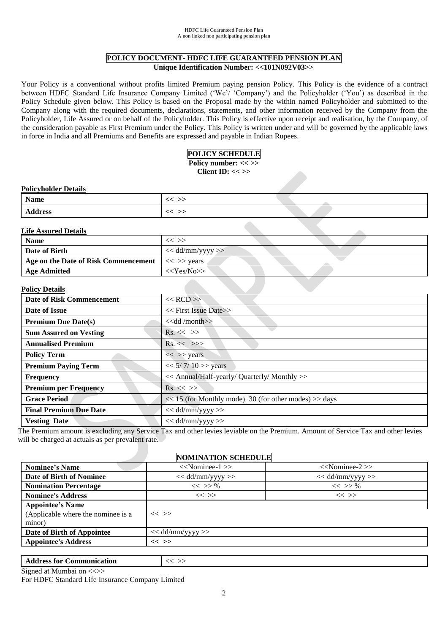# **POLICY DOCUMENT- HDFC LIFE GUARANTEED PENSION PLAN Unique Identification Number: <<101N092V03>>**

Your Policy is a conventional without profits limited Premium paying pension Policy. This Policy is the evidence of a contract between HDFC Standard Life Insurance Company Limited ('We'/ 'Company') and the Policyholder ('You') as described in the Policy Schedule given below. This Policy is based on the Proposal made by the within named Policyholder and submitted to the Company along with the required documents, declarations, statements, and other information received by the Company from the Policyholder, Life Assured or on behalf of the Policyholder. This Policy is effective upon receipt and realisation, by the Company, of the consideration payable as First Premium under the Policy. This Policy is written under and will be governed by the applicable laws in force in India and all Premiums and Benefits are expressed and payable in Indian Rupees.

# **POLICY SCHEDULE**

Policy number: << >> **Client ID: << >>**

# **Policyholder Details**

| <b>Name</b>    |       |  |
|----------------|-------|--|
| <b>Address</b> | - - - |  |

# **Life Assured Details**

| <b>Name</b>                                                       | $<<$ $>>$            |
|-------------------------------------------------------------------|----------------------|
| Date of Birth                                                     | $<<$ dd/mm/yyyy $>>$ |
| Age on the Date of Risk Commencement $\vert \ll \gg \gamma$ years |                      |
| <b>Age Admitted</b>                                               | $<<$ Yes/No>>        |

# **Policy Details**

| 1 онеу пения                     |                                                           |
|----------------------------------|-----------------------------------------------------------|
| <b>Date of Risk Commencement</b> | $<<$ RCD $>>$                                             |
| Date of Issue                    | $<<$ First Issue Date $>>$                                |
| <b>Premium Due Date(s)</b>       | $<<$ dd /month $>>$                                       |
| <b>Sum Assured on Vesting</b>    | $\mathrm{Rs.} \ll \gg$                                    |
| <b>Annualised Premium</b>        | $\text{Rs.}<<\gg\rangle$                                  |
| <b>Policy Term</b>               | $<<$ >> years                                             |
| <b>Premium Paying Term</b>       | $<< 5/7/10$ >> years                                      |
| <b>Frequency</b>                 | << Annual/Half-yearly/ Quarterly/ Monthly >>              |
| <b>Premium per Frequency</b>     | $\text{Rs.} \ll \gg$                                      |
| <b>Grace Period</b>              | $<< 15$ (for Monthly mode) 30 (for other modes) $>>$ days |
| <b>Final Premium Due Date</b>    | $<<$ dd/mm/yyyy $>>$                                      |
| <b>Vesting Date</b>              | $<<$ dd/mm/yyyy $>>$                                      |

The Premium amount is excluding any Service Tax and other levies leviable on the Premium. Amount of Service Tax and other levies will be charged at actuals as per prevalent rate.

# **NOMINATION SCHEDULE**

| <b>Nominee's Name</b>              | $<<$ Nominee-1 $>>$  | $<<$ Nominee-2 $>>$ |
|------------------------------------|----------------------|---------------------|
| <b>Date of Birth of Nominee</b>    | $<<$ dd/mm/yyyy $>>$ | $<<$ dd/mm/yyyy >>  |
| <b>Nomination Percentage</b>       | $<<$ >> %            | $<<$ >> %           |
| <b>Nominee's Address</b>           | $<<$ >>              | $<<$ >>             |
| <b>Appointee's Name</b>            |                      |                     |
| (Applicable where the nominee is a | $<<$ >>              |                     |
| minor)                             |                      |                     |
| Date of Birth of Appointee         | $<<$ dd/mm/yyyy >>   |                     |
| <b>Appointee's Address</b>         | $<<$ >>              |                     |
|                                    |                      |                     |

Address for Communication  $\vert \ll \gg$ 

Signed at Mumbai on <<>>

For HDFC Standard Life Insurance Company Limited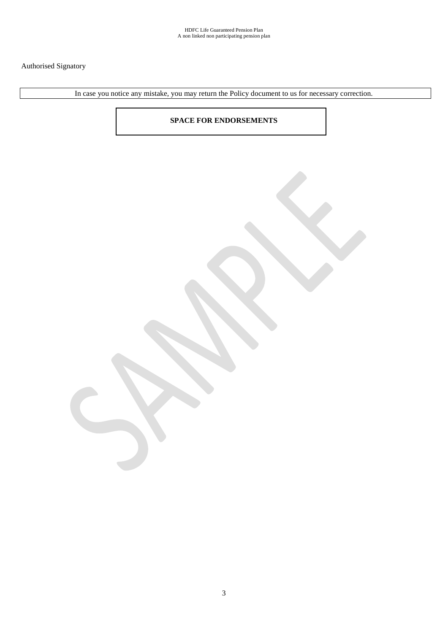# Authorised Signatory

In case you notice any mistake, you may return the Policy document to us for necessary correction.

# **SPACE FOR ENDORSEMENTS**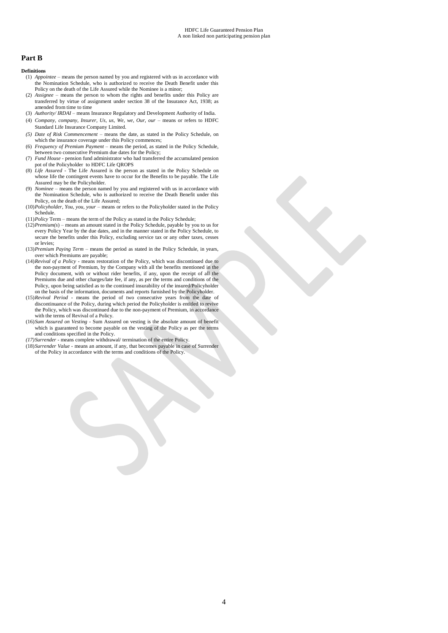# **Part B**

#### **Definitions**

- (1) *Appointee* means the person named by you and registered with us in accordance with the Nomination Schedule, who is authorized to receive the Death Benefit under this Policy on the death of the Life Assured while the Nominee is a minor;
- (2) *Assignee* means the person to whom the rights and benefits under this Policy are transferred by virtue of assignment under section 38 of the Insurance Act, 1938; as amended from time to time
- (3) *Authority/ IRDAI* means Insurance Regulatory and Development Authority of India.
- (4) *Company, company, Insurer, Us, us, We, we, Our, our –* means or refers to HDFC Standard Life Insurance Company Limited.
- *(5) Date of Risk Commencement*  means the date, as stated in the Policy Schedule, on which the insurance coverage under this Policy commences;
- (6) *Frequency of Premium Payment*  means the period, as stated in the Policy Schedule, between two consecutive Premium due dates for the Policy;
- (7) *Fund House -* pension fund administrator who had transferred the accumulated pension pot of the Policyholder to HDFC Life QROPS
- (8) *Life Assured* The Life Assured is the person as stated in the Policy Schedule on whose life the contingent events have to occur for the Benefits to be payable. The Life Assured may be the Policyholder.
- (9) *Nominee* means the person named by you and registered with us in accordance with the Nomination Schedule, who is authorized to receive the Death Benefit under this Policy, on the death of the Life Assured;
- (10)*Policyholder, You, you, your* means or refers to the Policyholder stated in the Policy Schedule.
- (11)*Policy* Term means the term of the Policy as stated in the Policy Schedule;
- (12)*Premium(s*) means an amount stated in the Policy Schedule, payable by you to us for every Policy Year by the due dates, and in the manner stated in the Policy Schedule, to secure the benefits under this Policy, excluding service tax or any other taxes, cesses or levies;
- (13)*Premium Paying Term*  means the period as stated in the Policy Schedule, in years, over which Premiums are payable;
- (14)*Revival of a Policy*  means restoration of the Policy, which was discontinued due to the non-payment of Premium, by the Company with all the benefits mentioned in the Policy document, with or without rider benefits, if any, upon the receipt of all the Premiums due and other charges/late fee, if any, as per the terms and conditions of the Policy, upon being satisfied as to the continued insurability of the insured/Policyholder on the basis of the information, documents and reports furnished by the Policyholder.
- (15)*Revival Period*  means the period of two consecutive years from the date of discontinuance of the Policy, during which period the Policyholder is entitled to revive the Policy, which was discontinued due to the non-payment of Premium, in accordance with the terms of Revival of a Policy.
- (16)*Sum Assured on Vesting* Sum Assured on vesting is the absolute amount of benefit which is guaranteed to become payable on the vesting of the Policy as per the terms and conditions specified in the Policy.
- *(17)Surrender*  means complete withdrawal/ termination of the entire Policy.
- (18)*Surrender Value*  means an amount, if any, that becomes payable in case of Surrender of the Policy in accordance with the terms and conditions of the Policy.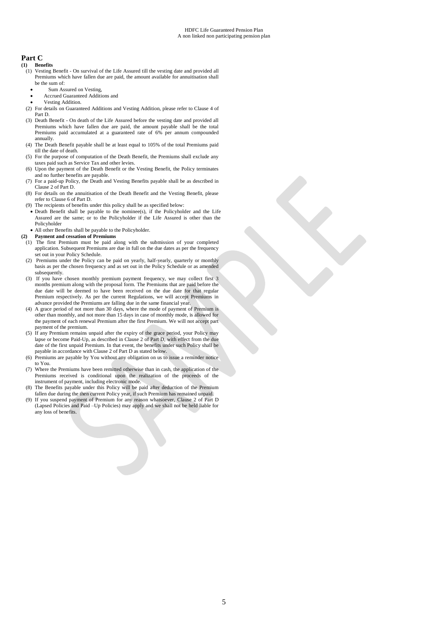# **Part C**

- **(1) Benefits** (1) Vesting Benefit - On survival of the Life Assured till the vesting date and provided all Premiums which have fallen due are paid, the amount available for annuitisation shall be the sum of:
	- Sum Assured on Vesting,
	- Accrued Guaranteed Additions and
	- Vesting Addition.
	- (2) For details on Guaranteed Additions and Vesting Addition, please refer to Clause 4 of Part D.
	- (3) Death Benefit On death of the Life Assured before the vesting date and provided all Premiums which have fallen due are paid, the amount payable shall be the total Premiums paid accumulated at a guaranteed rate of 6% per annum compounded annually.
	- (4) The Death Benefit payable shall be at least equal to 105% of the total Premiums paid till the date of death.
	- (5) For the purpose of computation of the Death Benefit, the Premiums shall exclude any taxes paid such as Service Tax and other levies.
	- (6) Upon the payment of the Death Benefit or the Vesting Benefit, the Policy terminates and no further benefits are payable.
	- (7) For a paid-up Policy, the Death and Vesting Benefits payable shall be as described in Clause 2 of Part D.
	- (8) For details on the annuitisation of the Death Benefit and the Vesting Benefit, please refer to Clause 6 of Part D.
	- (9) The recipients of benefits under this policy shall be as specified below:
	- Death Benefit shall be payable to the nominee(s), if the Policyholder and the Life Assured are the same; or to the Policyholder if the Life Assured is other than the Policyholder
	- All other Benefits shall be payable to the Policyholder.
- **(2) Payment and cessation of Premiums**
- (1) The first Premium must be paid along with the submission of your completed application. Subsequent Premiums are due in full on the due dates as per the frequency set out in your Policy Schedule.
- (2) Premiums under the Policy can be paid on yearly, half-yearly, quarterly or monthly basis as per the chosen frequency and as set out in the Policy Schedule or as amended subsequently.
- (3) If you have chosen monthly premium payment frequency, we may collect first 3 months premium along with the proposal form. The Premiums that are paid before the due date will be deemed to have been received on the due date for that regular Premium respectively. As per the current Regulations, we will accept Premiums in advance provided the Premiums are falling due in the same financial year.
- (4) A grace period of not more than 30 days, where the mode of payment of Premium is other than monthly, and not more than 15 days in case of monthly mode, is allowed for the payment of each renewal Premium after the first Premium. We will not accept part payment of the premium.
- (5) If any Premium remains unpaid after the expiry of the grace period, your Policy may lapse or become Paid-Up, as described in Clause 2 of Part D, with effect from the due date of the first unpaid Premium. In that event, the benefits under such Policy shall be payable in accordance with Clause 2 of Part D as stated below.
- (6) Premiums are payable by You without any obligation on us to issue a reminder notice to You.
- (7) Where the Premiums have been remitted otherwise than in cash, the application of the Premiums received is conditional upon the realization of the proceeds of the instrument of payment, including electronic mode.
- (8) The Benefits payable under this Policy will be paid after deduction of the Premium fallen due during the then current Policy year, if such Premium has remained unpaid.
- (9) If you suspend payment of Premium for any reason whatsoever, Clause 2 of Part D (Lapsed Policies and Paid –Up Policies) may apply and we shall not be held liable for any loss of benefits.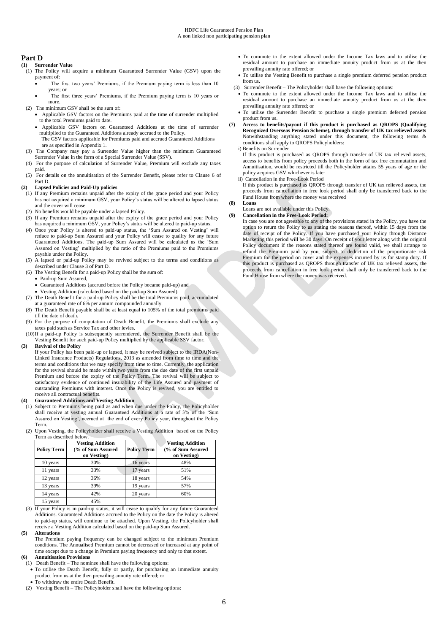# **Part D**

- **(1) Surrender Value** (1) The Policy will acquire a minimum Guaranteed Surrender Value (GSV) upon the payment of:
	- The first two years' Premiums, if the Premium paying term is less than 10 years; or
	- The first three years' Premiums, if the Premium paying term is 10 years or more.
- (2) The minimum GSV shall be the sum of:
	- Applicable GSV factors on the Premiums paid at the time of surrender multiplied to the total Premiums paid to date.
	- Applicable GSV factors on Guaranteed Additions at the time of surrender multiplied to the Guaranteed Additions already accrued to the Policy. The GSV factors applicable for Premiums paid and accrued Guaranteed Additions
- are as specified in Appendix 1. (3) The Company may pay a Surrender Value higher than the minimum Guaranteed Surrender Value in the form of a Special Surrender Value (SSV).
- (4) For the purpose of calculation of Surrender Value, Premium will exclude any taxes paid.
- (5) For details on the annuitisation of the Surrender Benefit, please refer to Clause 6 of Part D.

### **(2) Lapsed Policies and Paid-Up policies**

- (1) If any Premium remains unpaid after the expiry of the grace period and your Policy has not acquired a minimum GSV, your Policy's status will be altered to lapsed status and the cover will cease.
- (2) No benefits would be payable under a lapsed Policy.
- (3) If any Premium remains unpaid after the expiry of the grace period and your Policy has acquired a minimum GSV, your Policy's status will be altered to paid-up status.
- (4) Once your Policy is altered to paid-up status, the 'Sum Assured on Vesting' will reduce to paid-up Sum Assured and your Policy will cease to qualify for any future Guaranteed Additions. The paid-up Sum Assured will be calculated as the 'Sum Assured on Vesting' multiplied by the ratio of the Premiums paid to the Premiums payable under the Policy.
- (5) A lapsed or paid-up Policy may be revived subject to the terms and conditions as described under Clause 3 of Part D.
- (6) The Vesting Benefit for a paid-up Policy shall be the sum of:
	- Paid-up Sum Assured,
	- Guaranteed Additions (accrued before the Policy became paid-up) and
- Vesting Addition (calculated based on the paid-up Sum Assured).
- (7) The Death Benefit for a paid-up Policy shall be the total Premiums paid, accumulated at a guaranteed rate of 6% per annum compounded annually.
- (8) The Death Benefit payable shall be at least equal to 105% of the total premiums paid till the date of death.
- (9) For the purpose of computation of Death Benefit, the Premiums shall exclude any taxes paid such as Service Tax and other levies.
- (10)If a paid-up Policy is subsequently surrendered, the Surrender Benefit shall be the Vesting Benefit for such paid-up Policy multiplied by the applicable SSV factor.

## **(3) Revival of the Policy**

If your Policy has been paid-up or lapsed, it may be revived subject to the IRDA(Non-Linked Insurance Products) Regulations, 2013 as amended from time to time and the terms and conditions that we may specify from time to time. Currently, the application for the revival should be made within two years from the due date of the first unpaid Premium and before the expiry of the Policy Term. The revival will be subject to satisfactory evidence of continued insurability of the Life Assured and payment of outstanding Premiums with interest. Once the Policy is revived, you are entitled to receive all contractual benefits.

#### **(4) Guaranteed Additions and Vesting Addition**

- (1) Subject to Premiums being paid as and when due under the Policy, the Policyholder shall receive at vesting annual Guaranteed Additions at a rate of 3% of the 'Sum Assured on Vesting', accrued at the end of every Policy year, throughout the Policy Term.
- (2) Upon Vesting, the Policyholder shall receive a Vesting Addition based on the Policy Term as described below.

| <b>Policy Term</b> | <b>Vesting Addition</b><br>(% of Sum Assured<br>on Vesting) | <b>Policy Term</b> | <b>Vesting Addition</b><br>(% of Sum Assured<br>on Vesting) |
|--------------------|-------------------------------------------------------------|--------------------|-------------------------------------------------------------|
| 10 years           | 30%                                                         | 16 years           | 48%                                                         |
| 11 years           | 33%                                                         | 17 years           | 51%                                                         |
| 12 years           | 36%                                                         | 18 years           | 54%                                                         |
| 13 years           | 39%                                                         | 19 years           | 57%                                                         |
| 14 years           | 42%                                                         | 20 years           | 60%                                                         |
| 15 years           | 45%                                                         |                    |                                                             |

- (3) If your Policy is in paid-up status, it will cease to qualify for any future Guaranteed Additions. Guaranteed Additions accrued to the Policy on the date the Policy is altered to paid-up status, will continue to be attached. Upon Vesting, the Policyholder shall receive a Vesting Addition calculated based on the paid-up Sum Assured.
- **(5) Alterations**

The Premium paying frequency can be changed subject to the minimum Premium conditions. The Annualised Premium cannot be decreased or increased at any point of time except due to a change in Premium paying frequency and only to that extent. **(6) Annuitisation Provisions**

- (1) Death Benefit The nominee shall have the following options:
- To utilise the Death Benefit, fully or partly, for purchasing an immediate annuity product from us at the then prevailing annuity rate offered; or
- To withdraw the entire Death Benefit.
- (2) Vesting Benefit The Policyholder shall have the following options:
- To commute to the extent allowed under the Income Tax laws and to utilise the residual amount to purchase an immediate annuity product from us at the then prevailing annuity rate offered; or
- To utilise the Vesting Benefit to purchase a single premium deferred pension product from us.
- (3) Surrender Benefit The Policyholder shall have the following options:
- To commute to the extent allowed under the Income Tax laws and to utilise the residual amount to purchase an immediate annuity product from us at the then prevailing annuity rate offered; or
- To utilise the Surrender Benefit to purchase a single premium deferred pension product from us.
- **(7) Access to benefits/payout if this product is purchased as QROPS (Qualifying Recognized Overseas Pension Scheme), through transfer of UK tax relieved assets** Notwithstanding anything stated under this document, the following terms & conditions shall apply to QROPS Policyholders:

#### i) Benefits on Surrender

If this product is purchased as QROPS through transfer of UK tax relieved assets, access to benefits from policy proceeds both in the form of tax free commutation and Annuitisation, would be restricted till the Policyholder attains 55 years of age or the policy acquires GSV whichever is later

#### ii) Cancellation in the Free-Look Period

If this product is purchased as QROPS through transfer of UK tax relieved assets, the proceeds from cancellation in free look period shall only be transferred back to the Fund House from where the money was received

# **(8) Loans**

#### Loans are not available under this Policy. **(9) Cancellation in the Free-Look Period:**

In case you are not agreeable to any of the provisions stated in the Policy, you have the option to return the Policy to us stating the reasons thereof, within 15 days from the date of receipt of the Policy. If you have purchased your Policy through Distance Marketing this period will be 30 days. On receipt of your letter along with the original Policy document if the reasons stated thereof are found valid, we shall arrange to refund the Premium paid by you, subject to deduction of the proportionate risk Premium for the period on cover and the expenses incurred by us for stamp duty. If this product is purchased as QROPS through transfer of UK tax relieved assets, the proceeds from cancellation in free look period shall only be transferred back to the Fund House from where the money was received.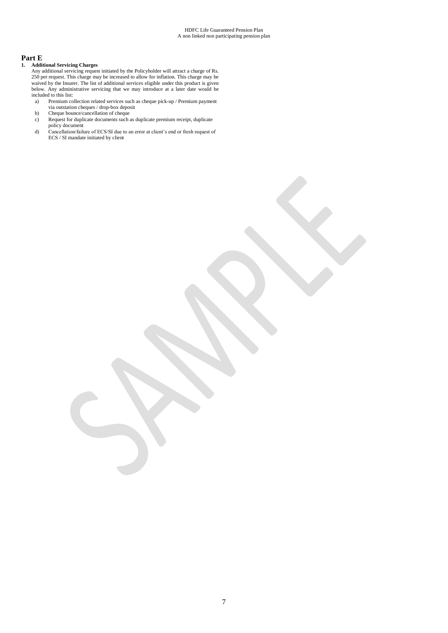# **Part E**

## **1. Additional Servicing Charges**

- Any additional servicing request initiated by the Policyholder will attract a charge of Rs. 250 per request. This charge may be increased to allow for inflation. This charge may be waived by the Insurer. The list of additional services eligible under this product is given below. Any administrative servicing that we may introduce at a later date would be included to this list:
- a) Premium collection related services such as cheque pick-up / Premium payment via outstation cheques / drop-box deposit
- b) Cheque bounce/cancellation of cheque
- c) Request for duplicate documents such as duplicate premium receipt, duplicate policy document
- d) Cancellation/failure of ECS/SI due to an error at client's end or fresh request of ECS / SI mandate initiated by client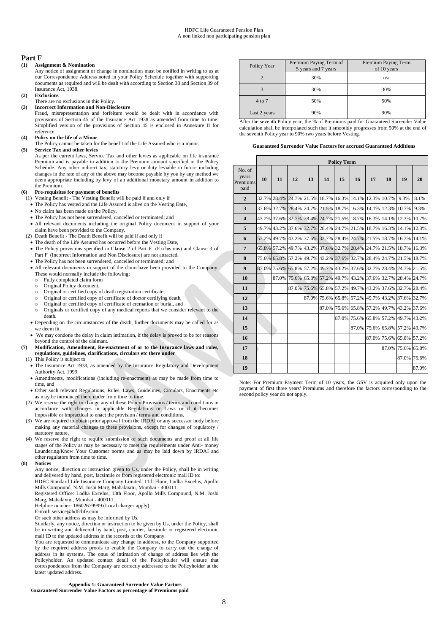## **Part F**

#### **(1) Assignment & Nomination**

Any notice of assignment or change in nomination must be notified in writing to us at our Correspondence Address noted in your Policy Schedule together with supporting documents as required and will be dealt with according to Section 38 and Section 39 of Insurance Act, 1938.

## **(2) Exclusions**

## There are no exclusions in this Policy.

**(3) Incorrect Information and Non-Disclosure** Fraud, misrepresentation and forfeiture would be dealt with in accordance with provisions of Section 45 of the Insurance Act 1938 as amended from time to time. Simplified version of the provisions of Section 45 is enclosed in Annexure II for reference.

#### **(4) Policy on the life of a Minor**

The Policy cannot be taken for the benefit of the Life Assured who is a minor.

**(5) Service Tax and other levies** As per the current laws, Service Tax and other levies as applicable on life insurance Premium and is payable in addition to the Premium amount specified in the Policy Schedule. Any other indirect tax, statutory levy or duty leviable in future including changes in the rate of any of the above may become payable by you by any method we deem appropriate including by levy of an additional monetary amount in addition to the Premium.

- **(6) Pre-requisites for payment of benefits**
- (1) Vesting Benefit The Vesting Benefit will be paid if and only if The Policy has vested and the Life Assured is alive on the Vesting Date,
	- No claim has been made on the Policy.
	- The Policy has not been surrendered, cancelled or terminated; and
	- All relevant documents including the original Policy document in support of your claim have been provided to the Company.
- (2) Death Benefit The Death Benefit will be paid if and only if
	- The death of the Life Assured has occurred before the Vesting Date, The Policy provisions specified in Clause 2 of Part F (Exclusions) and Clause 3 of
	- Part F (Incorrect Information and Non Disclosure) are not attracted, The Policy has not been surrendered, cancelled or terminated; and
	- All relevant documents in support of the claim have been provided to the Company. These would normally include the following:
		- Fully completed claim form
		- $\circ$  Original Policy document
		- o Original or certified copy of death registration certificate,
		- o Original or certified copy of certificate of doctor certifying death,
		- o Original or certified copy of certificate of cremation or burial, and
		- Originals or certified copy of any medical reports that we consider relevant to the death.
	- Depending on the circumstances of the death, further documents may be called for as we deem fit.
	- We may condone the delay in claim intimation, if the delay is proved to be for reasons beyond the control of the claimant.
- **(7) Modification, Amendment, Re-enactment of or to the Insurance laws and rules, regulations, guidelines, clarifications, circulars etc there under** 
	- (1) This Policy is subject to
		- The Insurance Act 1938, as amended by the Insurance Regulatory and Development Authority Act, 1999.
		- Amendments, modifications (including re-enactment) as may be made from time to time, and
		- Other such relevant Regulations, Rules, Laws, Guidelines, Circulars, Enactments etc as may be introduced there under from time to time.
	- (2) We reserve the right to change any of these Policy Provisions / terms and conditions in accordance with changes in applicable Regulations or Laws or if it becomes impossible or impractical to enact the provision / terms and conditions.
	- (3) We are required to obtain prior approval from the IRDAI or any successor body before making any material changes to these provisions, except for changes of regulatory / statutory nature.
	- (4) We reserve the right to require submission of such documents and proof at all life stages of the Policy as may be necessary to meet the requirements under Anti- money Laundering/Know Your Customer norms and as may be laid down by IRDAI and other regulators from time to time.

#### **(8) Notices**

Any notice, direction or instruction given to Us, under the Policy, shall be in writing and delivered by hand, post, facsimile or from registered electronic mail ID to: HDFC Standard Life Insurance Company Limited, 11th Floor, Lodha Excelus, Apollo Mills Compound, N.M. Joshi Marg, Mahalaxmi, Mumbai - 400011.

Registered Office: Lodha Excelus, 13th Floor, Apollo Mills Compound, N.M. Joshi Marg, Mahalaxmi, Mumbai - 400011.

Helpline number: 18602679999 (Local charges apply)

E-mail: service@hdfclife.com

Or such other address as may be informed by Us.

Similarly, any notice, direction or instruction to be given by Us, under the Policy, shall be in writing and delivered by hand, post, courier, facsimile or registered electronic mail ID to the updated address in the records of the Company.

You are requested to communicate any change in address, to the Company supported by the required address proofs to enable the Company to carry out the change of address in its systems. The onus of intimation of change of address lies with the Policyholder. An updated contact detail of the Policyholder will ensure that correspondences from the Company are correctly addressed to the Policyholder at the latest updated address.

**Appendix 1: Guaranteed Surrender Value Factors Guaranteed Surrender Value Factors as percentage of Premiums paid**

| Policy Year  | Premium Paying Term of<br>5 years and 7 years | Premium Paying Term<br>of 10 years |
|--------------|-----------------------------------------------|------------------------------------|
|              | 30%                                           | n/a                                |
|              | 30%                                           | 30%                                |
| 4 to 7       | 50%                                           | 50%                                |
| Last 2 years | 90%                                           | 90%                                |

After the seventh Policy year, the % of Premiums paid for Guaranteed Surrender Value calculation shall be interpolated such that it smoothly progresses from 50% at the end of the seventh Policy year to 90% two years before Vesting.

#### **Guaranteed Surrender Value Factors for accrued Guaranteed Additions**

|                                     | <b>Policy Term</b> |                   |       |                                                             |             |       |       |                                                 |       |             |       |
|-------------------------------------|--------------------|-------------------|-------|-------------------------------------------------------------|-------------|-------|-------|-------------------------------------------------|-------|-------------|-------|
| No. of<br>years<br>Premiums<br>paid | 10                 | 11                | 12    | 13                                                          | 14          | 15    | 16    | 17                                              | 18    | 19          | 20    |
| $\overline{2}$                      |                    | 32.7% 28.4%       | 24.7% | 21.5%                                                       | 18.7%       | 16.3% | 14.1% | 12.3% 10.7%                                     |       | 9.3%        | 8.1%  |
| 3                                   |                    | 37.6% 32.7%       | 28.4% |                                                             | 24.7% 21.5% | 18.7% |       | 16.3% 14.1% 12.3%                               |       | 10.7%       | 9.3%  |
| $\overline{\mathbf{4}}$             |                    |                   |       | 43.2% 37.6% 32.7% 28.4% 24.7% 21.5% 18.7% 16.3% 14.1% 12.3% |             |       |       |                                                 |       |             | 10.7% |
| 5                                   |                    | 49.7% 43.2%       | 37.6% |                                                             |             |       |       | 32.7% 28.4% 24.7% 21.5% 18.7% 16.3% 14.1% 12.3% |       |             |       |
| 6                                   |                    |                   |       | 57.2% 49.7% 43.2% 37.6% 32.7% 28.4%                         |             |       |       | 24.7% 21.5% 18.7%                               |       | 16.3%       | 14.1% |
| $\overline{7}$                      |                    | 65.8% 57.2%       | 49.7% |                                                             |             |       |       | 43.2% 37.6% 32.7% 28.4% 24.7% 21.5% 18.7% 16.3% |       |             |       |
| 8                                   |                    | 75.6% 65.8%       | 57.2% |                                                             |             |       |       | 49.7% 43.2% 37.6% 32.7% 28.4% 24.7% 21.5% 18.7% |       |             |       |
| 9                                   |                    | 87.0% 75.6% 65.8% |       |                                                             |             |       |       | 57.2% 49.7% 43.2% 37.6% 32.7% 28.4%             |       | 24.7%       | 21.5% |
| 10                                  |                    | 87.0%             |       | 75.6% 65.8% 57.2%                                           |             | 49.7% |       | 43.2% 37.6% 32.7% 28.4% 24.7%                   |       |             |       |
| 11                                  |                    |                   | 87.0% |                                                             | 75.6% 65.8% |       |       | 57.2% 49.7% 43.2% 37.6% 32.7% 28.4%             |       |             |       |
| 12                                  |                    |                   |       | 87.0%                                                       | 75.6%       | 65.8% |       | 57.2% 49.7% 43.2% 37.6% 32.7%                   |       |             |       |
| 13                                  |                    |                   |       |                                                             | 87.0%       |       |       | 75.6% 65.8% 57.2% 49.7%                         |       | 43.2%       | 37.6% |
| 14                                  |                    |                   |       |                                                             |             |       |       | 87.0% 75.6% 65.8% 57.2% 49.7% 43.2%             |       |             |       |
| 15                                  |                    |                   |       |                                                             |             |       |       | 87.0% 75.6% 65.8%                               |       | 57.2% 49.7% |       |
| 16                                  |                    |                   |       |                                                             |             |       |       | 87.0% 75.6%                                     |       | 65.8%       | 57.2% |
| 17                                  |                    |                   |       |                                                             |             |       |       |                                                 | 87.0% | 75.6% 65.8% |       |
| 18                                  |                    |                   |       |                                                             |             |       |       |                                                 |       | 87.0% 75.6% |       |
| 19                                  |                    |                   |       |                                                             |             |       |       |                                                 |       |             | 87.0% |

Note: For Premium Payment Term of 10 years, the GSV is acquired only upon the payment of first three years' Premiums and therefore the factors corresponding to the second policy year do not apply.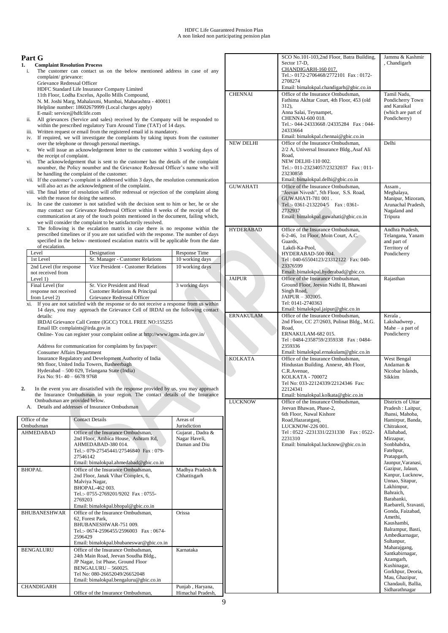# **Part G**

- **1. Complaint Resolution Process**  The customer can contact us on the below mentioned address in case of any complaint/ grievance:
	- Grievance Redressal Officer HDFC Standard Life Insurance Company Limited 11th Floor, Lodha Excelus, Apollo Mills Compound, N. M. Joshi Marg, Mahalaxmi, Mumbai, Maharashtra - 400011
	- Helpline number: 18602679999 (Local charges apply)
- E-mail: service@hdfclife.com ii. All grievances (Service and sales) received by the Company will be responded to
- within the prescribed regulatory Turn Around Time (TAT) of 14 days.
- iii. Written request or email from the registered email id is mandatory.
- iv. If required, we will investigate the complaints by taking inputs from the customer over the telephone or through personal meetings. v. We will issue an acknowledgement letter to the customer within 3 working days of
- the receipt of complaint. vi. The acknowledgement that is sent to the customer has the details of the complaint
- noumber, the Policy noumber and the Grievance Redressal Officer's name who will be handling the complaint of the customer. vii. If the customer's complaint is addressed within 3 days, the resolution communication
- will also act as the acknowledgment of the complaint.
- viii. The final letter of resolution will offer redressal or rejection of the complaint along with the reason for doing the sameso.
- ix. In case the customer is not satisfied with the decision sent to him or her, he or she may contact our Grievance Redressal Officer within 8 weeks of the receipt of the communication at any of the touch points mentioned in the document, failing which, we will consider the complaint to be satisfactorily resolved.
- x. The following is the escalation matrix in case there is no response within the prescribed timelines or if you are not satisfied with the response. The number of days specified in the below- mentioned escalation matrix will be applicable from the date of escalation.

| Level                                                       | Designation                                                                                  | Response Time   |
|-------------------------------------------------------------|----------------------------------------------------------------------------------------------|-----------------|
| 1st Level                                                   | Sr. Manager - Customer Relations                                                             | 10 working days |
| 2nd Level (for response)<br>not received from<br>Level $1)$ | Vice President - Customer Relations                                                          | 10 working days |
| Final Level (for<br>response not received<br>from Level 2)  | Sr. Vice President and Head<br>Customer Relations & Principal<br>Grievance Redressal Officer | 3 working days  |

xi. If you are not satisfied with the response or do not receive a response from us within 14 days, you may approach the Grievance Cell of IRDAI on the following contact details: IRDAI Grievance Call Centre (IGCC) TOLL FREE NO:155255 Email ID: complaints@irda.gov.in

Online- You can register your complaint online at http://www.igms.irda.gov.in/

Address for communication for complaints by fax/paper: Consumer Affairs Department Insurance Regulatory and Development Authority of India 9th floor, United India Towers, Basheerbagh Hyderabad – 500 029, Telangana State (India) Fax No: 91- 40 – 6678 9768

**2.** In the event you are dissatisfied with the response provided by us, you may approach the Insurance Ombudsman in your region. The contact details of the Insurance Ombudsman are provided below. A. Details and addresses of Insurance Ombudsman

| Office of the<br>Ombudsman | <b>Contact Details</b>                                                                                                                                                                                              | Areas of<br>Jurisdiction                           |
|----------------------------|---------------------------------------------------------------------------------------------------------------------------------------------------------------------------------------------------------------------|----------------------------------------------------|
| <b>AHMEDABAD</b>           | Office of the Insurance Ombudsman.<br>2nd Floor, Ambica House, Ashram Rd,<br>AHMEDABAD-380014.<br>Tel.:- 079-27545441/27546840 Fax: 079-<br>27546142<br>Email: bimalokpal.ahmedabad@gbic.co.in                      | Gujarat, Dadra &<br>Nagar Haveli,<br>Daman and Diu |
| BHOPAL                     | Office of the Insurance Ombudsman.<br>2nd Floor, Janak Vihar Complex, 6,<br>Malviya Nagar,<br>BHOPAL-462 003.<br>Tel.:- 0755-2769201/9202 Fax: 0755-<br>2769203<br>Email: bimalokpal.bhopal@gbic.co.in              | Madhya Pradesh &<br>Chhattisgarh                   |
| <b>BHUBANESHWAR</b>        | Office of the Insurance Ombudsman,<br>62, Forest Park,<br>BHUBANESHWAR-751 009.<br>Tel.:- 0674-2596455/2596003 Fax: 0674-<br>2596429<br>Email: bimalokpal.bhubaneswar@gbic.co.in                                    | Orissa                                             |
| <b>BENGALURU</b>           | Office of the Insurance Ombudsman.<br>24th Main Road, Jeevan Soudha Bldg.,<br>JP Nagar, 1st Phase, Ground Floor<br>$BENGALURI - 560025.$<br>Tel No: 080-26652049/26652048<br>Email: bimalokpal.bengaluru@gbic.co.in | Karnataka                                          |
| <b>CHANDIGARH</b>          | Office of the Insurance Ombudsman.                                                                                                                                                                                  | Punjab, Haryana,<br>Himachal Pradesh,              |

|                  | SCO No.101-103,2nd Floor, Batra Building,                                        | Jammu & Kashmir                          |
|------------------|----------------------------------------------------------------------------------|------------------------------------------|
|                  | Sector 17-D,<br>CHANDIGARH-160 017.                                              | , Chandigarh                             |
|                  | Tel.:- 0172-2706468/2772101 Fax: 0172-                                           |                                          |
|                  | 2708274<br>Email: bimalokpal.chandigarh@gbic.co.in                               |                                          |
| <b>CHENNAI</b>   | Office of the Insurance Ombudsman,                                               | Tamil Nadu.                              |
|                  | Fathima Akhtar Court, 4th Floor, 453 (old                                        | Pondicherry Town                         |
|                  | 312),<br>Anna Salai, Teynampet,                                                  | and Karaikal<br>(which are part of       |
|                  | CHENNAI-600 018.                                                                 | Pondicherry)                             |
|                  | Tel.:- 044-24333668/24335284 Fax: 044-<br>24333664                               |                                          |
|                  | Email: bimalokpal.chennai@gbic.co.in                                             |                                          |
| <b>NEW DELHI</b> | Office of the Insurance Ombudsman.                                               | Delhi                                    |
|                  | 2/2 A, Universal Insurance Bldg., Asaf Ali                                       |                                          |
|                  | Road.<br>NEW DELHI-110 002.                                                      |                                          |
|                  | Tel.:- 011-23234057/23232037 Fax: 011-                                           |                                          |
|                  | 23230858<br>Email: bimalokpal.delhi@gbic.co.in                                   |                                          |
| <b>GUWAHATI</b>  | Office of the Insurance Ombudsman,                                               | Assam,                                   |
|                  | "Jeevan Nivesh", 5th Floor, S.S. Road,                                           | Meghalaya,                               |
|                  | <b>GUWAHATI-781 001.</b><br>Tel.:- 0361-2132204/5   Fax: 0361-                   | Manipur, Mizoram,<br>Arunachal Pradesh,  |
|                  | 2732937                                                                          | Nagaland and                             |
|                  | Email: bimalokpal.guwahati@gbic.co.in                                            | Tripura                                  |
| <b>HYDERABAD</b> | Office of the Insurance Ombudsman,                                               | Andhra Pradesh,                          |
|                  | 6-2-46, 1st Floor, Moin Court, A.C.                                              | Telangana, Yanam                         |
|                  | Guards,                                                                          | and part of                              |
|                  | Lakdi-Ka-Pool,<br>HYDERABAD-500 004.                                             | Territory of<br>Pondicherry              |
|                  | Tel: 040-65504123/23312122 Fax: 040-                                             |                                          |
|                  | 23376599<br>Email: bimalokpal.hyderabad@gbic.co.                                 |                                          |
| <b>JAIPUR</b>    | Office of the Insurance Ombudsman,                                               | Rajasthan                                |
|                  | Ground Floor, Jeevan Nidhi II, Bhawani                                           |                                          |
|                  | Singh Road,                                                                      |                                          |
|                  | JAIPUR - 302005.<br>Tel: 0141-2740363                                            |                                          |
|                  | Email: bimalokpal.jaipur@gbic.co.in                                              |                                          |
| <b>ERNAKULAM</b> | Office of the Insurance Ombudsman,<br>2nd Floor, CC 27/2603, Pulinat Bldg., M.G. | Kerala,<br>Lakshadweep,                  |
|                  | Road.                                                                            | Mahe $-$ a part of                       |
|                  | ERNAKULAM-682015.                                                                | Pondicherry                              |
|                  | Tel: 0484-2358759/2359338 Fax: 0484-<br>2359336                                  |                                          |
|                  | Email: bimalokpal.ernakulam@gbic.co.in                                           |                                          |
| <b>KOLKATA</b>   | Office of the Insurance Ombudsman.                                               | West Bengal                              |
|                  | Hindustan Building. Annexe, 4th Floor,<br>C.R.Avenue.                            | Andaman &<br>Nicobar Islands,            |
|                  | <b>KOLKATA - 700072</b>                                                          | Sikkim                                   |
|                  | Tel No: 033-22124339/22124346 Fax:                                               |                                          |
|                  | 22124341<br>Email: bimalokpal.kolkata@gbic.co.in                                 |                                          |
| <b>LUCKNOW</b>   | Office of the Insurance Ombudsman,                                               | Districts of Uttar                       |
|                  | Jeevan Bhawan, Phase-2,<br>6th Floor, Nawal Kishore                              | Pradesh: Laitpur,<br>Jhansi, Mahoba,     |
|                  | Road, Hazaratganj,                                                               | Hamirpur, Banda,                         |
|                  | LUCKNOW-226 001.                                                                 | Chitrakoot,                              |
|                  | Tel: 0522 -2231331/2231330<br>Fax: 0522-<br>2231310                              | Allahabad,<br>Mirzapur,                  |
|                  | Email: bimalokpal.lucknow@gbic.co.in                                             | Sonbhabdra,                              |
|                  |                                                                                  | Fatehpur,                                |
|                  |                                                                                  | Pratapgarh,<br>Jaunpur, Varanasi,        |
|                  |                                                                                  | Gazipur, Jalaun,                         |
|                  |                                                                                  | Kanpur, Lucknow,                         |
|                  |                                                                                  |                                          |
|                  |                                                                                  | Unnao, Sitapur,<br>Lakhimpur,            |
|                  |                                                                                  | Bahraich,                                |
|                  |                                                                                  | Barabanki,                               |
|                  |                                                                                  | Raebareli, Sravasti,<br>Gonda, Faizabad, |
|                  |                                                                                  | Amethi,                                  |
|                  |                                                                                  | Kaushambi,                               |
|                  |                                                                                  | Balrampur, Basti,<br>Ambedkarnagar,      |
|                  |                                                                                  | Sultanpur,                               |
|                  |                                                                                  | Maharajgang,                             |
|                  |                                                                                  | Santkabirnagar,<br>Azamgarh,             |
|                  |                                                                                  | Kushinagar,                              |
|                  |                                                                                  | Gorkhpur, Deoria,<br>Mau, Ghazipur,      |
|                  |                                                                                  | Chandauli, Ballia,<br>Sidharathnagar     |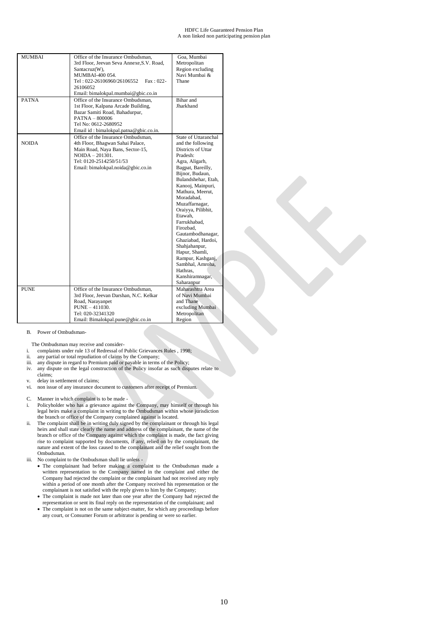#### HDFC Life Guaranteed Pension Plan A non linked non participating pension plan

| <b>MUMBAI</b> | Office of the Insurance Ombudsman,        | Goa, Mumbai          |
|---------------|-------------------------------------------|----------------------|
|               | 3rd Floor, Jeevan Seva Annexe, S.V. Road, | Metropolitan         |
|               | Santacruz(W),                             | Region excluding     |
|               | MUMBAI-400 054.                           | Navi Mumbai &        |
|               | Tel: 022-26106960/26106552<br>$Fax: 022-$ | Thane                |
|               | 26106052                                  |                      |
|               |                                           |                      |
|               | Email: bimalokpal.mumbai@gbic.co.in       |                      |
| <b>PATNA</b>  | Office of the Insurance Ombudsman,        | Bihar and            |
|               | 1st Floor, Kalpana Arcade Building,       | Jharkhand            |
|               | Bazar Samiti Road, Bahadurpur,            |                      |
|               | $PATH - 800006$                           |                      |
|               | Tel No: 0612-2680952                      |                      |
|               | Email id: bimalokpal.patna@gbic.co.in.    |                      |
|               | Office of the Insurance Ombudsman,        | State of Uttaranchal |
| <b>NOIDA</b>  | 4th Floor, Bhagwan Sahai Palace,          | and the following    |
|               | Main Road, Naya Bans, Sector-15,          | Districts of Uttar   |
|               | $NOIDA - 201301$ .                        | Pradesh:             |
|               | Tel: 0120-2514250/51/53                   | Agra, Aligarh,       |
|               | Email: bimalokpal.noida@gbic.co.in        | Bagpat, Bareilly,    |
|               |                                           | Bijnor, Budaun,      |
|               |                                           | Bulandshehar, Etah,  |
|               |                                           | Kanooj, Mainpuri,    |
|               |                                           | Mathura, Meerut,     |
|               |                                           | Moradabad.           |
|               |                                           | Muzaffarnagar,       |
|               |                                           | Oraiyya, Pilibhit,   |
|               |                                           | Etawah,              |
|               |                                           | Farrukhabad,         |
|               |                                           | Firozbad,            |
|               |                                           | Gautambodhanagar,    |
|               |                                           | Ghaziabad, Hardoi,   |
|               |                                           | Shahjahanpur,        |
|               |                                           | Hapur, Shamli,       |
|               |                                           | Rampur, Kashganj,    |
|               |                                           | Sambhal, Amroha,     |
|               |                                           | Hathras.             |
|               |                                           | Kanshiramnagar,      |
|               |                                           | Saharanpur           |
| <b>PUNE</b>   | Office of the Insurance Ombudsman.        | Maharashtra Area     |
|               | 3rd Floor, Jeevan Darshan, N.C. Kelkar    | of Navi Mumbai       |
|               | Road, Narayanpet                          | and Thane            |
|               | $PUNE - 411030.$                          | excluding Mumbai     |
|               | Tel: 020-32341320                         | Metropolitan         |
|               | Email: Bimalokpal.pune@gbic.co.in         | Region               |

#### B. Power of Ombudsman-

The Ombudsman may receive and consider-

- i. complaints under rule 13 of Redressal of Public Grievances Rules , 1998;<br>ii. any partial or total repudiation of claims by the Company;
- any partial or total repudiation of claims by the Company;
- iii. any dispute in regard to Premium paid or payable in terms of the Policy;
- iv. any dispute on the legal construction of the Policy insofar as such disputes relate to claims;
- v. delay in settlement of claims;
- vi. non issue of any insurance document to customers after receipt of Premium.
- C. Manner in which complaint is to be made -
- i. Policyholder who has a grievance against the Company, may himself or through his legal heirs make a complaint in writing to the Ombudsman within whose jurisdiction the branch or office of the Company complained against is located.
- ii. The complaint shall be in writing duly signed by the complainant or through his legal heirs and shall state clearly the name and address of the complainant, the name of the branch or office of the Company against which the complaint is made, the fact giving rise to complaint supported by documents, if any, relied on by the complainant, the nature and extent of the loss caused to the complainant and the relief sought from the Ombudsman.
- iii. No complaint to the Ombudsman shall lie unless
	- The complainant had before making a complaint to the Ombudsman made a written representation to the Company named in the complaint and either the Company had rejected the complaint or the complainant had not received any reply within a period of one month after the Company received his representation or the complainant is not satisfied with the reply given to him by the Company;
	- The complaint is made not later than one year after the Company had rejected the representation or sent its final reply on the representation of the complainant; and
	- The complaint is not on the same subject-matter, for which any proceedings before any court, or Consumer Forum or arbitrator is pending or were so earlier.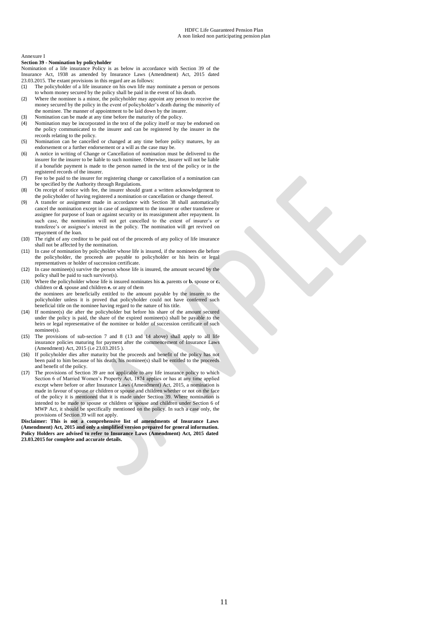#### Annexure I

### **Section 39 - Nomination by policyholder**

Nomination of a life insurance Policy is as below in accordance with Section 39 of the Insurance Act, 1938 as amended by Insurance Laws (Amendment) Act, 2015 dated 23.03.2015. The extant provisions in this regard are as follows:

- (1) The policyholder of a life insurance on his own life may nominate a person or persons to whom money secured by the policy shall be paid in the event of his death.
- (2) Where the nominee is a minor, the policyholder may appoint any person to receive the money secured by the policy in the event of policyholder's death during the minority of the nominee. The manner of appointment to be laid down by the insurer.
- (3) Nomination can be made at any time before the maturity of the policy.
- (4) Nomination may be incorporated in the text of the policy itself or may be endorsed on the policy communicated to the insurer and can be registered by the insurer in the records relating to the policy.
- (5) Nomination can be cancelled or changed at any time before policy matures, by an endorsement or a further endorsement or a will as the case may be.
- (6) A notice in writing of Change or Cancellation of nomination must be delivered to the insurer for the insurer to be liable to such nominee. Otherwise, insurer will not be liable if a bonafide payment is made to the person named in the text of the policy or in the registered records of the insurer.
- (7) Fee to be paid to the insurer for registering change or cancellation of a nomination can be specified by the Authority through Regulations.
- (8) On receipt of notice with fee, the insurer should grant a written acknowledgement to the policyholder of having registered a nomination or cancellation or change thereof.
- (9) A transfer or assignment made in accordance with Section 38 shall automatically cancel the nomination except in case of assignment to the insurer or other transferee or assignee for purpose of loan or against security or its reassignment after repayment. In such case, the nomination will not get cancelled to the extent of insurer's or transferee's or assignee's interest in the policy. The nomination will get revived on repayment of the loan.
- (10) The right of any creditor to be paid out of the proceeds of any policy of life insurance shall not be affected by the nomination.
- (11) In case of nomination by policyholder whose life is insured, if the nominees die before the policyholder, the proceeds are payable to policyholder or his heirs or legal representatives or holder of succession certificate.
- (12) In case nominee(s) survive the person whose life is insured, the amount secured by the policy shall be paid to such survivor(s).
- (13) Where the policyholder whose life is insured nominates his **a.** parents or **b.** spouse or **c.**  children or **d.** spouse and children **e.** or any of them the nominees are beneficially entitled to the amount payable by the insurer to the policyholder unless it is proved that policyholder could not have conferred such beneficial title on the nominee having regard to the nature of his title.
- (14) If nominee(s) die after the policyholder but before his share of the amount secured under the policy is paid, the share of the expired nominee(s) shall be payable to the heirs or legal representative of the nominee or holder of succession certificate of such nominee(s).
- (15) The provisions of sub-section 7 and 8 (13 and 14 above) shall apply to all life insurance policies maturing for payment after the commencement of Insurance Laws (Amendment) Act, 2015 (i.e 23.03.2015 ).
- (16) If policyholder dies after maturity but the proceeds and benefit of the policy has not been paid to him because of his death, his nominee(s) shall be entitled to the proceeds and benefit of the policy.
- (17) The provisions of Section 39 are not applicable to any life insurance policy to which Section 6 of Married Women's Property Act, 1874 applies or has at any time applied except where before or after Insurance Laws (Amendment) Act, 2015, a nomination is made in favour of spouse or children or spouse and children whether or not on the face of the policy it is mentioned that it is made under Section 39. Where nomination is intended to be made to spouse or children or spouse and children under Section 6 of MWP Act, it should be specifically mentioned on the policy. In such a case only, the provisions of Section 39 will not apply.

**Disclaimer: This is not a comprehensive list of amendments of Insurance Laws (Amendment) Act, 2015 and only a simplified version prepared for general information. Policy Holders are advised to refer to Insurance Laws (Amendment) Act, 2015 dated 23.03.2015 for complete and accurate details.**